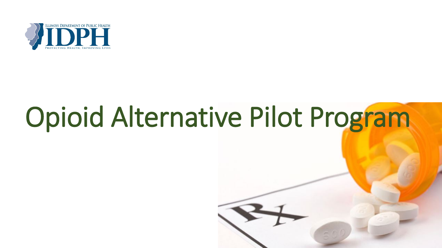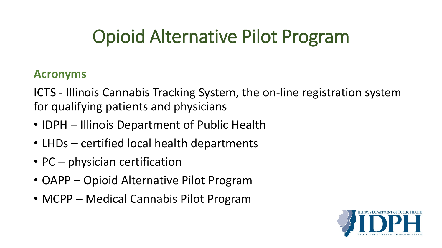#### **Acronyms**

ICTS - Illinois Cannabis Tracking System, the on-line registration system for qualifying patients and physicians

- IDPH Illinois Department of Public Health
- LHDs certified local health departments
- PC physician certification
- OAPP Opioid Alternative Pilot Program
- MCPP Medical Cannabis Pilot Program

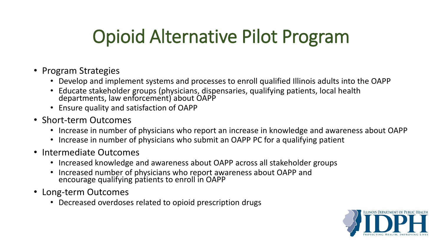- Program Strategies
	- Develop and implement systems and processes to enroll qualified Illinois adults into the OAPP
	- Educate stakeholder groups (physicians, dispensaries, qualifying patients, local health departments, law enforcement) about OAPP
	- Ensure quality and satisfaction of OAPP
- Short-term Outcomes
	- Increase in number of physicians who report an increase in knowledge and awareness about OAPP
	- Increase in number of physicians who submit an OAPP PC for a qualifying patient
- Intermediate Outcomes
	- Increased knowledge and awareness about OAPP across all stakeholder groups
	- Increased number of physicians who report awareness about OAPP and encourage qualifying patients to enroll in OAPP
- Long-term Outcomes
	- Decreased overdoses related to opioid prescription drugs

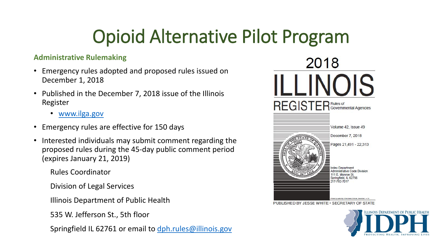#### **Administrative Rulemaking**

- Emergency rules adopted and proposed rules issued on December 1, 2018
- Published in the December 7, 2018 issue of the Illinois Register
	- [www.ilga.gov](http://www.ilga.gov/)
- Emergency rules are effective for 150 days
- Interested individuals may submit comment regarding the proposed rules during the 45-day public comment period (expires January 21, 2019)
	- Rules Coordinator
	- Division of Legal Services
	- Illinois Department of Public Health
	- 535 W. Jefferson St., 5th floor
	- Springfield IL 62761 or email to [dph.rules@illinois.gov](mailto:dph.rules@illinois.gov)





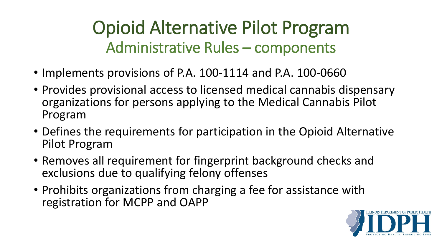#### Opioid Alternative Pilot Program Administrative Rules – components

- Implements provisions of P.A. 100-1114 and P.A. 100-0660
- Provides provisional access to licensed medical cannabis dispensary organizations for persons applying to the Medical Cannabis Pilot Program
- Defines the requirements for participation in the Opioid Alternative Pilot Program
- Removes all requirement for fingerprint background checks and exclusions due to qualifying felony offenses
- Prohibits organizations from charging a fee for assistance with registration for MCPP and OAPP

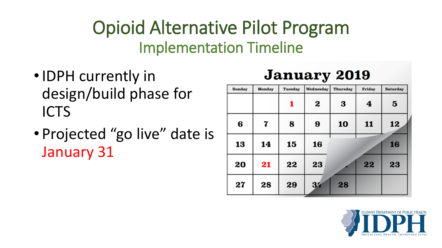#### Opioid Alternative Pilot Program Implementation Timeline

- **IDPH** currently in design/build phase for **ICTS**
- Projected "go live" date is January 31

#### **January 2019**

| <b>Sunday</b> | <b>Monday</b> | <b>Tuesday</b> | Wednesday      | <b>Thursday</b> | <b>Friday</b>    | <b>Saturday</b> |
|---------------|---------------|----------------|----------------|-----------------|------------------|-----------------|
|               |               |                | 2              | 3               | $\boldsymbol{4}$ | $5\phantom{1}$  |
| 6             | 7             | 8              | 9              | 10              | 11               | 12              |
| 13            | 14            | 15             | 16             |                 |                  | 16              |
| 20            | 21            | 22             | 23             |                 | 22               | 23              |
| 27            | 28            | 29             | 3 <sub>4</sub> | 28              |                  |                 |

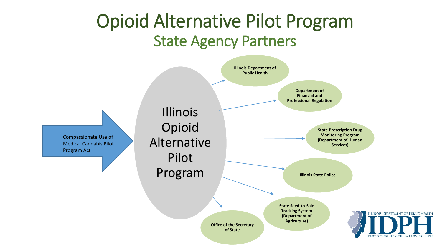#### Opioid Alternative Pilot Program State Agency Partners

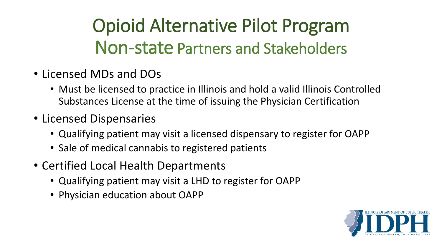Opioid Alternative Pilot Program Non-state Partners and Stakeholders

- Licensed MDs and DOs
	- Must be licensed to practice in Illinois and hold a valid Illinois Controlled Substances License at the time of issuing the Physician Certification
- Licensed Dispensaries
	- Qualifying patient may visit a licensed dispensary to register for OAPP
	- Sale of medical cannabis to registered patients
- Certified Local Health Departments
	- Qualifying patient may visit a LHD to register for OAPP
	- Physician education about OAPP

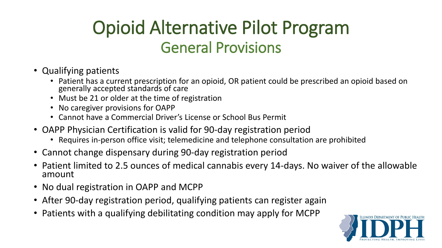#### Opioid Alternative Pilot Program General Provisions

- Qualifying patients
	- Patient has a current prescription for an opioid, OR patient could be prescribed an opioid based on generally accepted standards of care
	- Must be 21 or older at the time of registration
	- No caregiver provisions for OAPP
	- Cannot have a Commercial Driver's License or School Bus Permit
- OAPP Physician Certification is valid for 90-day registration period
	- Requires in-person office visit; telemedicine and telephone consultation are prohibited
- Cannot change dispensary during 90-day registration period
- Patient limited to 2.5 ounces of medical cannabis every 14-days. No waiver of the allowable amount
- No dual registration in OAPP and MCPP
- After 90-day registration period, qualifying patients can register again
- Patients with a qualifying debilitating condition may apply for MCPP

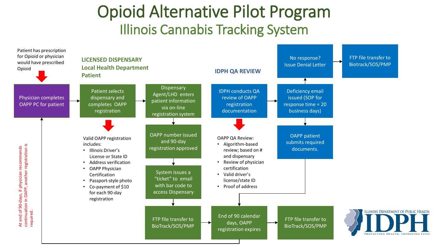#### Opioid Alternative Pilot Program Illinois Cannabis Tracking System

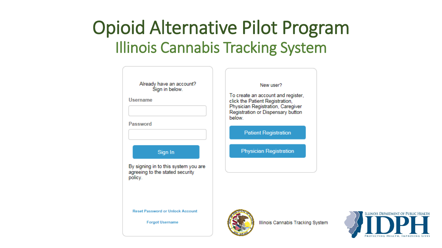#### Opioid Alternative Pilot Program Illinois Cannabis Tracking System

| Already have an account?<br>Sign in below.<br>Username                             | New user?<br>To create an account and register,<br>click the Patient Registration, |
|------------------------------------------------------------------------------------|------------------------------------------------------------------------------------|
| <b>Password</b>                                                                    | Physician Registration, Caregiver<br>Registration or Dispensary button<br>below    |
|                                                                                    | <b>Patient Registration</b>                                                        |
| Sign In                                                                            | <b>Physician Registration</b>                                                      |
| By signing in to this system you are<br>agreeing to the stated security<br>policy. |                                                                                    |
| <b>Reset Password or Unlock Account</b>                                            |                                                                                    |
| <b>Forgot Username</b>                                                             | Illinois Cannabis Tracking System                                                  |

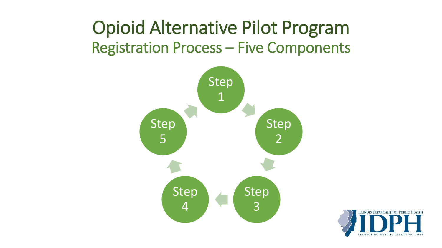#### Opioid Alternative Pilot Program Registration Process – Five Components



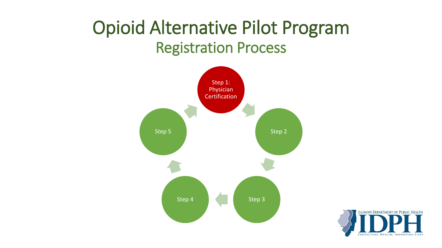#### Opioid Alternative Pilot Program Registration Process



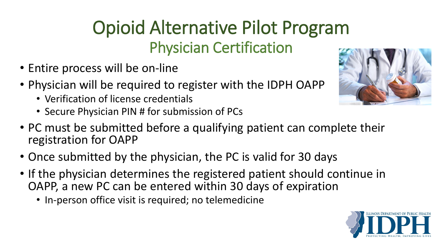### Opioid Alternative Pilot Program Physician Certification

- Entire process will be on-line
- Physician will be required to register with the IDPH OAPP
	- Verification of license credentials
	- Secure Physician PIN # for submission of PCs



- PC must be submitted before a qualifying patient can complete their registration for OAPP
- Once submitted by the physician, the PC is valid for 30 days
- If the physician determines the registered patient should continue in OAPP, a new PC can be entered within 30 days of expiration
	- In-person office visit is required; no telemedicine

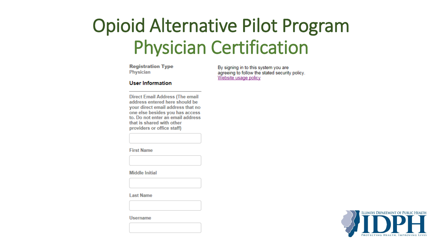#### Opioid Alternative Pilot Program Physician Certification

**Registration Type** Physician

**User Information** 

**Direct Email Address (The email** address entered here should be your direct email address that no one else besides you has access to. Do not enter an email address that is shared with other providers or office staff)

**First Name** 

**Middle Initial** 

**Last Name** 

**Username** 

By signing in to this system you are agreeing to follow the stated security policy. Website usage policy

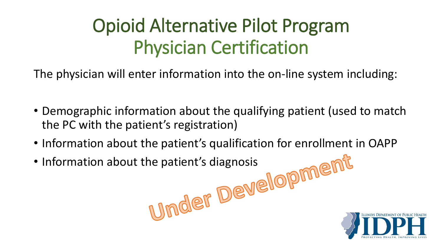# Opioid Alternative Pilot Program Physician Certification

The physician will enter information into the on-line system including:

- Demographic information about the qualifying patient (used to match the PC with the patient's registration)
- Information about the patient's qualification for enrollment in OAPP<br>• Information about the patient's diagnosis<br>• A A PP DEVELOPPED
- Information about the patient's diagnosis

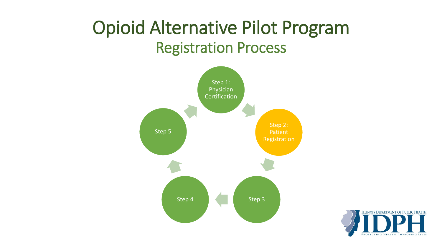#### Opioid Alternative Pilot Program Registration Process



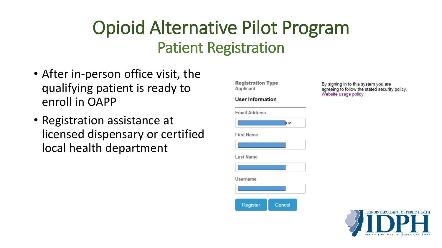- After in-person office visit, the qualifying patient is ready to enroll in OAPP
- Registration assistance at licensed dispensary or certified local health department



**Registration Type** 

**Applicant** 

By signing in to this system you are agreeing to follow the stated security policy. Website usage policy

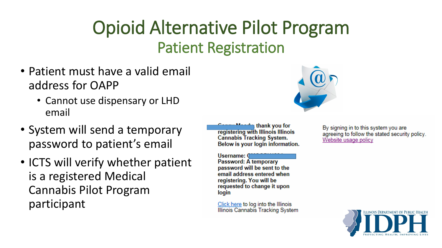- Patient must have a valid email address for OAPP
	- Cannot use dispensary or LHD email
- System will send a temporary password to patient's email
- ICTS will verify whether patient is a registered Medical Cannabis Pilot Program participant



Username: 0 Password: A temporary password will be sent to the email address entered when registering. You will be requested to change it upon login

Click here to log into the Illinois Illinois Cannabis Tracking System



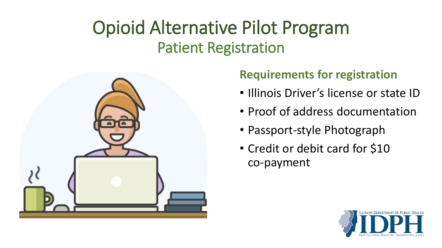

#### **Requirements for registration**

- Illinois Driver's license or state ID
- Proof of address documentation
- Passport-style Photograph
- Credit or debit card for \$10 co-payment

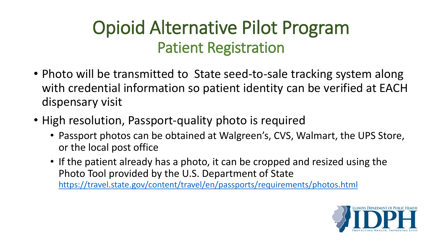- Photo will be transmitted to State seed-to-sale tracking system along with credential information so patient identity can be verified at EACH dispensary visit
- High resolution, Passport-quality photo is required
	- Passport photos can be obtained at Walgreen's, CVS, Walmart, the UPS Store, or the local post office
	- If the patient already has a photo, it can be cropped and resized using the Photo Tool provided by the U.S. Department of State <https://travel.state.gov/content/travel/en/passports/requirements/photos.html>

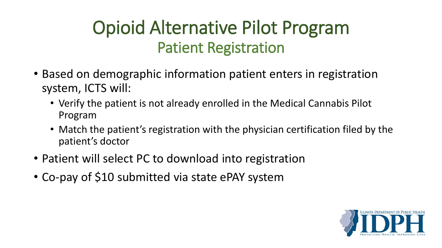- Based on demographic information patient enters in registration system, ICTS will:
	- Verify the patient is not already enrolled in the Medical Cannabis Pilot Program
	- Match the patient's registration with the physician certification filed by the patient's doctor
- Patient will select PC to download into registration
- Co-pay of \$10 submitted via state ePAY system

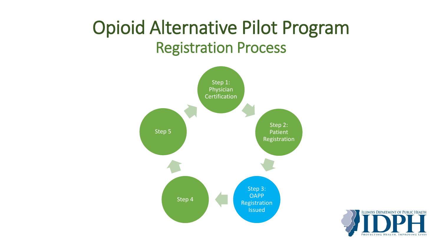#### Opioid Alternative Pilot Program Registration Process



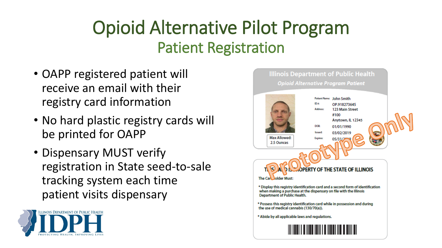- OAPP registered patient will receive an email with their registry card information
- No hard plastic registry cards will be printed for OAPP
- Dispensary MUST verify registration in State seed-to-sale tracking system each time patient visits dispensary



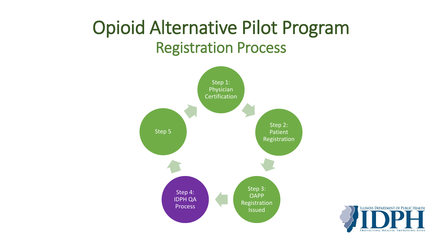#### Opioid Alternative Pilot Program Registration Process



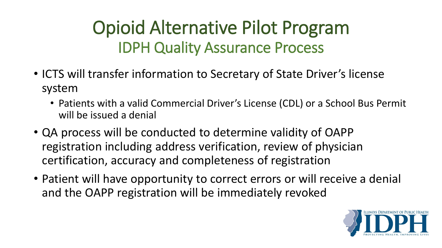#### Opioid Alternative Pilot Program IDPH Quality Assurance Process

- ICTS will transfer information to Secretary of State Driver's license system
	- Patients with a valid Commercial Driver's License (CDL) or a School Bus Permit will be issued a denial
- QA process will be conducted to determine validity of OAPP registration including address verification, review of physician certification, accuracy and completeness of registration
- Patient will have opportunity to correct errors or will receive a denial and the OAPP registration will be immediately revoked

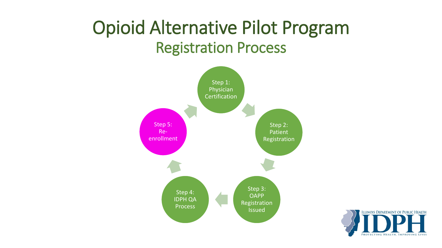#### Opioid Alternative Pilot Program Registration Process



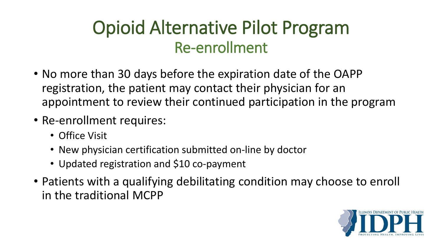#### Opioid Alternative Pilot Program Re-enrollment

- No more than 30 days before the expiration date of the OAPP registration, the patient may contact their physician for an appointment to review their continued participation in the program
- Re-enrollment requires:
	- Office Visit
	- New physician certification submitted on-line by doctor
	- Updated registration and \$10 co-payment
- Patients with a qualifying debilitating condition may choose to enroll in the traditional MCPP